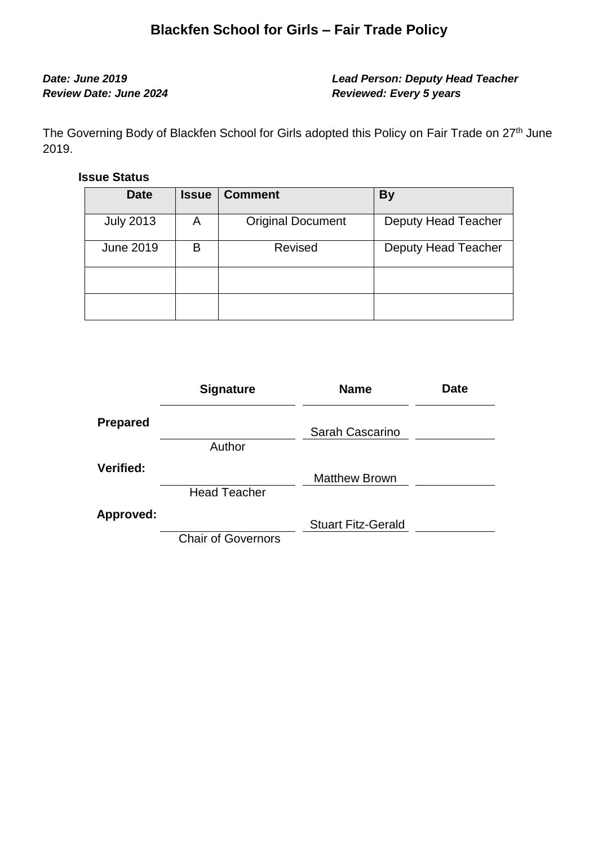# **Blackfen School for Girls – Fair Trade Policy**

## *Date: June 2019 Lead Person: Deputy Head Teacher Review Date: June 2024 Reviewed: Every 5 years*

The Governing Body of Blackfen School for Girls adopted this Policy on Fair Trade on 27<sup>th</sup> June 2019.

### **Issue Status**

| <b>Date</b>      | <b>Issue</b> | <b>Comment</b>           | <b>By</b>           |
|------------------|--------------|--------------------------|---------------------|
| <b>July 2013</b> | A            | <b>Original Document</b> | Deputy Head Teacher |
| <b>June 2019</b> | В            | <b>Revised</b>           | Deputy Head Teacher |
|                  |              |                          |                     |
|                  |              |                          |                     |

|                 | <b>Signature</b>          | <b>Name</b>               | <b>Date</b> |
|-----------------|---------------------------|---------------------------|-------------|
| <b>Prepared</b> |                           | Sarah Cascarino           |             |
|                 | Author                    |                           |             |
| Verified:       |                           | <b>Matthew Brown</b>      |             |
|                 | <b>Head Teacher</b>       |                           |             |
| Approved:       |                           | <b>Stuart Fitz-Gerald</b> |             |
|                 | <b>Chair of Governors</b> |                           |             |